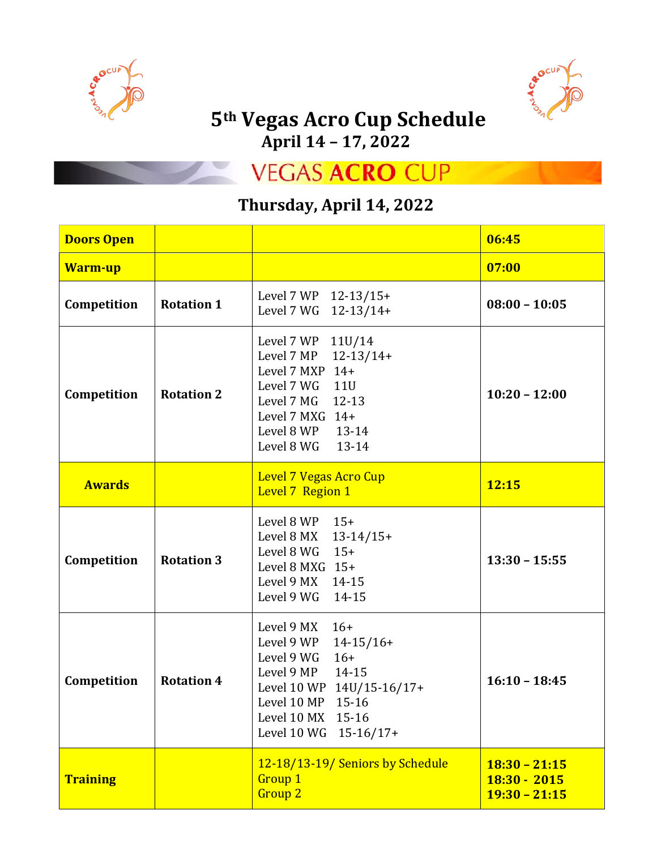



# $5<sup>th</sup> Vegas$  Acro Cup Schedule

**April 14 – 17, 2022**

**VEGAS ACRO CUP** 

#### **Thursday, April 14, 2022**

| <b>Doors Open</b> |                   |                                                                                                                                                                                                | 06:45                                                |
|-------------------|-------------------|------------------------------------------------------------------------------------------------------------------------------------------------------------------------------------------------|------------------------------------------------------|
| <b>Warm-up</b>    |                   |                                                                                                                                                                                                | 07:00                                                |
| Competition       | <b>Rotation 1</b> | Level 7 WP 12-13/15+<br>Level 7 WG 12-13/14+                                                                                                                                                   | $08:00 - 10:05$                                      |
| Competition       | <b>Rotation 2</b> | Level 7 WP 11U/14<br>Level 7 MP<br>$12-13/14+$<br>Level 7 MXP $14+$<br>Level 7 WG 11U<br>Level 7 MG<br>$12 - 13$<br>Level 7 MXG $14+$<br>Level 8 WP 13-14<br>Level 8 WG<br>13-14               | $10:20 - 12:00$                                      |
| <b>Awards</b>     |                   | <b>Level 7 Vegas Acro Cup</b><br>Level 7 Region 1                                                                                                                                              | 12:15                                                |
| Competition       | <b>Rotation 3</b> | Level 8 WP<br>$15+$<br>Level 8 MX<br>$13-14/15+$<br>$15+$<br>Level 8 WG<br>Level 8 MXG $15+$<br>Level 9 MX 14-15<br>Level 9 WG<br>14-15                                                        | $13:30 - 15:55$                                      |
| Competition       | <b>Rotation 4</b> | Level 9 MX<br>$16+$<br>Level 9 WP<br>$14-15/16+$<br>Level 9 WG<br>$16+$<br>Level 9 MP<br>14-15<br>Level 10 WP 14U/15-16/17+<br>Level 10 MP 15-16<br>Level 10 MX 15-16<br>Level 10 WG 15-16/17+ | $16:10 - 18:45$                                      |
| <b>Training</b>   |                   | 12-18/13-19/ Seniors by Schedule<br><b>Group 1</b><br><b>Group 2</b>                                                                                                                           | $18:30 - 21:15$<br>$18:30 - 2015$<br>$19:30 - 21:15$ |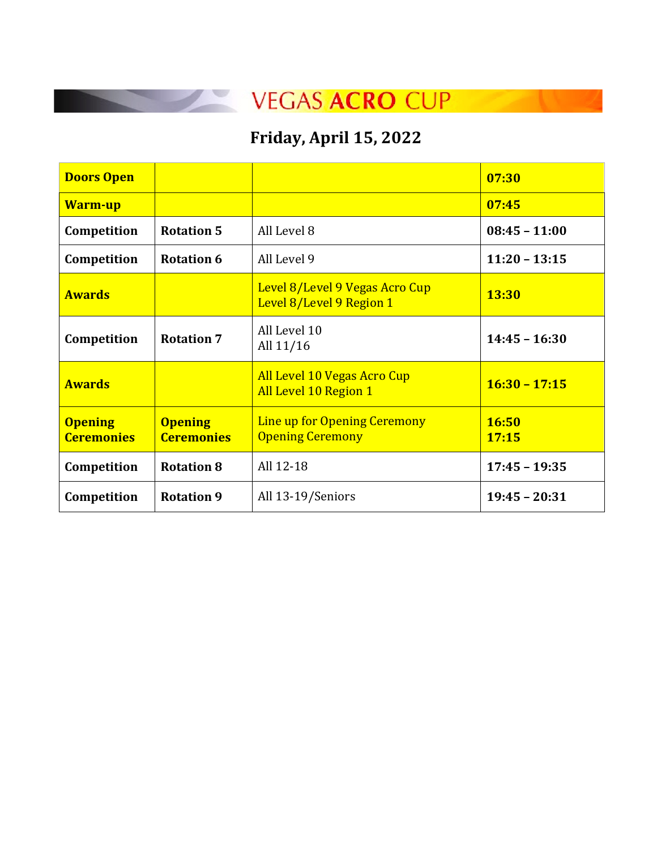### **Friday, April 15, 2022**

| <b>Doors Open</b>                   |                                     |                                                             | 07:30                 |
|-------------------------------------|-------------------------------------|-------------------------------------------------------------|-----------------------|
| <b>Warm-up</b>                      |                                     |                                                             | 07:45                 |
| Competition                         | <b>Rotation 5</b>                   | All Level 8                                                 | $08:45 - 11:00$       |
| Competition                         | <b>Rotation 6</b>                   | All Level 9                                                 | $11:20 - 13:15$       |
| <b>Awards</b>                       |                                     | Level 8/Level 9 Vegas Acro Cup<br>Level 8/Level 9 Region 1  | <b>13:30</b>          |
| Competition                         | <b>Rotation 7</b>                   | All Level 10<br>All 11/16                                   | $14:45 - 16:30$       |
| <b>Awards</b>                       |                                     | <b>All Level 10 Vegas Acro Cup</b><br>All Level 10 Region 1 | $16:30 - 17:15$       |
| <b>Opening</b><br><b>Ceremonies</b> | <b>Opening</b><br><b>Ceremonies</b> | Line up for Opening Ceremony<br><b>Opening Ceremony</b>     | <b>16:50</b><br>17:15 |
| Competition                         | <b>Rotation 8</b>                   | All 12-18                                                   | $17:45 - 19:35$       |
| Competition                         | <b>Rotation 9</b>                   | All 13-19/Seniors                                           | $19:45 - 20:31$       |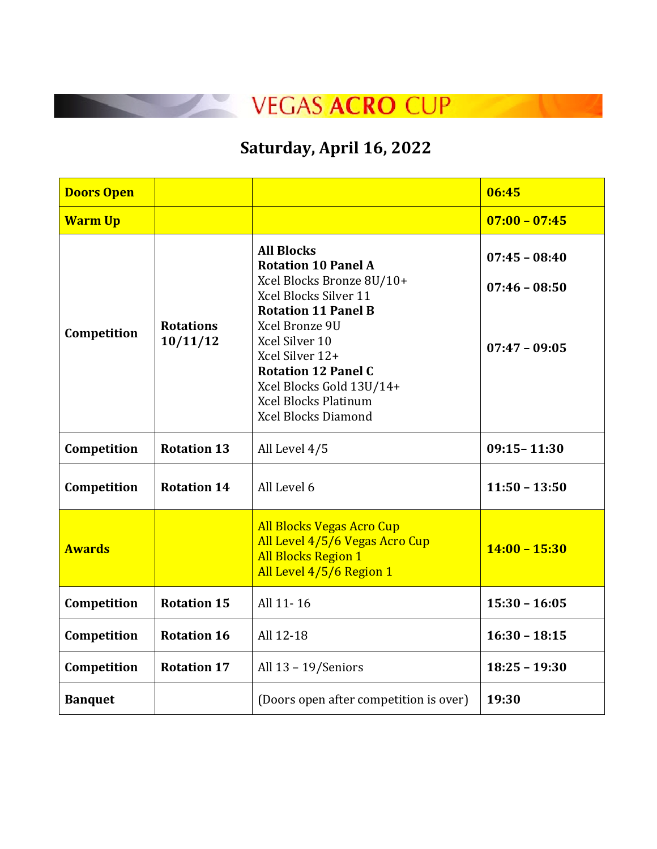

## **Saturday, April 16, 2022**

| <b>Doors Open</b> |                              |                                                                                                                                                                                                                                                                                                                   | 06:45                                                 |
|-------------------|------------------------------|-------------------------------------------------------------------------------------------------------------------------------------------------------------------------------------------------------------------------------------------------------------------------------------------------------------------|-------------------------------------------------------|
| <b>Warm Up</b>    |                              |                                                                                                                                                                                                                                                                                                                   | $07:00 - 07:45$                                       |
| Competition       | <b>Rotations</b><br>10/11/12 | <b>All Blocks</b><br><b>Rotation 10 Panel A</b><br>Xcel Blocks Bronze 8U/10+<br>Xcel Blocks Silver 11<br><b>Rotation 11 Panel B</b><br>Xcel Bronze 9U<br>Xcel Silver 10<br>Xcel Silver 12+<br><b>Rotation 12 Panel C</b><br>Xcel Blocks Gold 13U/14+<br><b>Xcel Blocks Platinum</b><br><b>Xcel Blocks Diamond</b> | $07:45 - 08:40$<br>$07:46 - 08:50$<br>$07:47 - 09:05$ |
| Competition       | <b>Rotation 13</b>           | All Level 4/5                                                                                                                                                                                                                                                                                                     | $09:15 - 11:30$                                       |
| Competition       | <b>Rotation 14</b>           | All Level 6                                                                                                                                                                                                                                                                                                       | $11:50 - 13:50$                                       |
| <b>Awards</b>     |                              | <b>All Blocks Vegas Acro Cup</b><br>All Level 4/5/6 Vegas Acro Cup<br><b>All Blocks Region 1</b><br>All Level 4/5/6 Region 1                                                                                                                                                                                      | $14:00 - 15:30$                                       |
| Competition       | <b>Rotation 15</b>           | All 11-16                                                                                                                                                                                                                                                                                                         | $15:30 - 16:05$                                       |
| Competition       | <b>Rotation 16</b>           | All 12-18                                                                                                                                                                                                                                                                                                         | $16:30 - 18:15$                                       |
| Competition       | <b>Rotation 17</b>           | All $13 - 19$ /Seniors                                                                                                                                                                                                                                                                                            | $18:25 - 19:30$                                       |
| <b>Banquet</b>    |                              | (Doors open after competition is over)                                                                                                                                                                                                                                                                            | 19:30                                                 |